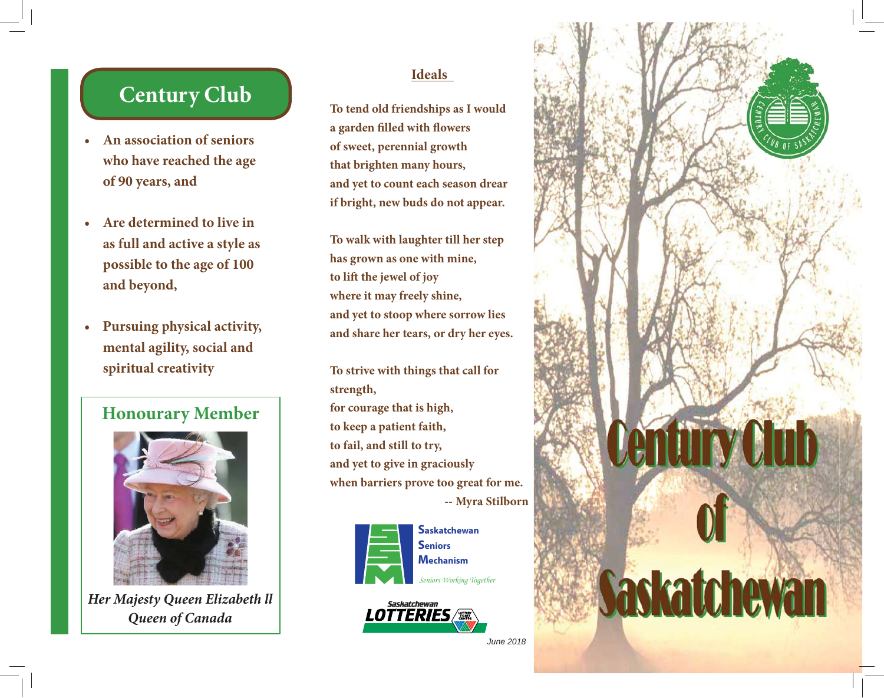## **Century Club**

- **An association of seniors who have reached the age of 90 years, and**
- **Are determined to live in as full and active a style as possible to the age of 100 and beyond,**
- **Pursuing physical activity, mental agility, social and spiritual creativity**

### **Honourary Member**



*Her Majesty Queen Elizabeth ll Queen of Canada*

#### **Ideals**

**To tend old friendships as I would a garden filled with flowers of sweet, perennial growth that brighten many hours, and yet to count each season drear if bright, new buds do not appear.**

**To walk with laughter till her step has grown as one with mine, to lift the jewel of joy where it may freely shine, and yet to stoop where sorrow lies and share her tears, or dry her eyes.**

**To strive with things that call for strength, for courage that is high, to keep a patient faith, to fail, and still to try, and yet to give in graciously when barriers prove too great for me. -- Myra Stilborn**



# **Mechanism**



*June 2018*